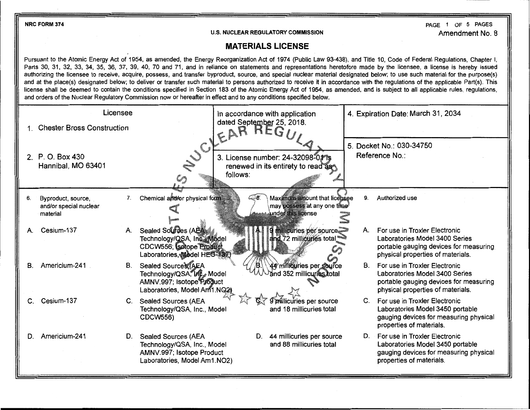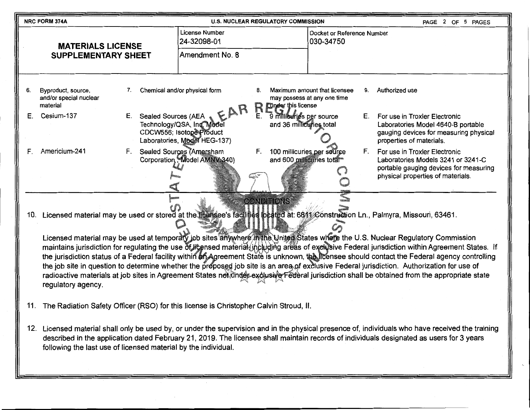|    | NRC FORM 374A                                                                                                                                                                                                                                                                                                                                                                                                                                                                                                                                                                                                                                                                                                                                                                                                                                                                                                          |                           | <b>U.S. NUCLEAR REGULATORY COMMISSION</b>                                                     |                                                            | PAGE 2 OF 5 PAGES                                           |                                                                                                                                                          |  |  |
|----|------------------------------------------------------------------------------------------------------------------------------------------------------------------------------------------------------------------------------------------------------------------------------------------------------------------------------------------------------------------------------------------------------------------------------------------------------------------------------------------------------------------------------------------------------------------------------------------------------------------------------------------------------------------------------------------------------------------------------------------------------------------------------------------------------------------------------------------------------------------------------------------------------------------------|---------------------------|-----------------------------------------------------------------------------------------------|------------------------------------------------------------|-------------------------------------------------------------|----------------------------------------------------------------------------------------------------------------------------------------------------------|--|--|
|    | <b>MATERIALS LICENSE</b><br><b>SUPPLEMENTARY SHEET</b>                                                                                                                                                                                                                                                                                                                                                                                                                                                                                                                                                                                                                                                                                                                                                                                                                                                                 |                           | License Number<br>24-32098-01                                                                 |                                                            | Docket or Reference Number<br>030-34750                     |                                                                                                                                                          |  |  |
|    |                                                                                                                                                                                                                                                                                                                                                                                                                                                                                                                                                                                                                                                                                                                                                                                                                                                                                                                        |                           | Amendment No. 8                                                                               |                                                            |                                                             |                                                                                                                                                          |  |  |
| 6. | Byproduct, source,<br>and/or special nuclear<br>material                                                                                                                                                                                                                                                                                                                                                                                                                                                                                                                                                                                                                                                                                                                                                                                                                                                               | 7.                        | Chemical and/or physical form                                                                 | 8.<br><b>Under this license</b><br>R                       | Maximum amount that licensee<br>may possess at any one time | Authorized use<br>9.                                                                                                                                     |  |  |
| Е. | Cesium-137                                                                                                                                                                                                                                                                                                                                                                                                                                                                                                                                                                                                                                                                                                                                                                                                                                                                                                             | Sealed Sources (AEA<br>Е. | CAR<br>Technology/QSA, Inc. Model<br>CDCW556; Isotope Product<br>Laboratories, Model HEG-137) | 9 millieuries per source<br>Е.<br>and 36 millicuries total |                                                             | For use in Troxler Electronic<br>E.,<br>Laboratories Model 4640-B portable<br>gauging devices for measuring physical<br>properties of materials.         |  |  |
| F. | Americium-241                                                                                                                                                                                                                                                                                                                                                                                                                                                                                                                                                                                                                                                                                                                                                                                                                                                                                                          | F.                        | Sealed Sources (Amersham<br>Corporation, Model AMNV 340)                                      | F.<br>and 600 millicuries total                            | 100 millicuries per source                                  | F.<br>For use in Troxler Electronic<br>Laboratories Models 3241 or 3241-C<br>portable gauging devices for measuring<br>physical properties of materials. |  |  |
|    | <b>CONDITIONS</b><br>10. Licensed material may be used or stored at the licensee's facilities beated at: 6811 Construction Ln., Palmyra, Missouri, 63461.<br>Licensed material may be used at temporary job sites anywhere in the United States where the U.S. Nuclear Regulatory Commission<br>maintains jurisdiction for regulating the use of licensed material jncluding areas of exclusive Federal jurisdiction within Agreement States. If<br>the jurisdiction status of a Federal facility within an Agreement State is unknown, the licensee should contact the Federal agency controlling<br>the job site in question to determine whether the proposed job site is an area of exclusive Federal jurisdiction. Authorization for use of<br>radioactive materials at job sites in Agreement States not under exclusive Federal jurisdiction shall be obtained from the appropriate state<br>regulatory agency. |                           |                                                                                               |                                                            |                                                             |                                                                                                                                                          |  |  |

- 11. The Radiation Safety Officer (RSO) for this license is Christopher Calvin Stroud, II.
- 12. Licensed material shall only be used by, or under the supervision and in the physical presence of, individuals who have received the training described in the application dated February 21, 2019. The licensee shall maintain records of individuals designated as users for 3 years following the last use of licensed material by the individual.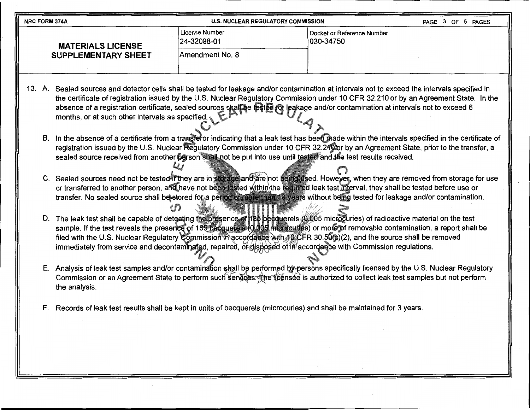| <b>NRC FORM 374A</b>       | <b>U.S. NUCLEAR REGULATORY COMMISSION</b> |                                         |  |  | PAGE 3 OF 5 PAGES |
|----------------------------|-------------------------------------------|-----------------------------------------|--|--|-------------------|
| <b>MATERIALS LICENSE</b>   | l License Number<br>24-32098-01           | Docket or Reference Number<br>030-34750 |  |  |                   |
| <b>SUPPLEMENTARY SHEET</b> | <b>Amendment No. 8</b>                    |                                         |  |  |                   |

- 13. A. Sealed sources and detector cells shall be tested for leakage and/or contamination at intervals not to exceed the intervals specified in the certificate of registration issued by the U.S. Nuclear Regulatory Commission under 10 CFR 32'.210 or by an Agreement State. In the absence of a registration certificate, sealed sources shall be tested for leakage and/or contamination at intervals not to exceed 6 months, or at such other intervals as specified.  $\mathcal{A}_{\lambda}$ 
	- B. In the absence of a certificate from a transferor indicating that a leak test has been made within the intervals specified in the certificate of registration issued by the U.S. Nuclear Regulatory Commission under 10 CFR 32.24 Dor by an Agreement State, prior to the transfer, a sealed source received from another person shall not be put into use until tested and the test results received. *lJj*
	- C. Sealed sources need not be tested何fthey are in storage)and)are not being used. Howeyer, when they are removed from storage for use or transferred to another person, and have not been tested within∖the required leak test interval, they shall be tested before use or transfer. No sealed source shall be stored for a period of more than 10 years without being tested for leakage and/or contamination. en

/i"

- D. The leak test shall be capable of detecting the presence of 185 becauerels (0:005 microcuries) of radioactive material on the test sample. If the test reveals the presence of 185 becquerels (0,005 microcuries) or more of removable contamination, a report shall be filed with the U.S. Nuclear Regulatory Commission in accordance with 10 CFR 30.50(c)(2), and the source shall be removed immediately from service and decontaminated, repaired, or disposed of in accordance with Commission regulations. -S~~,:, ;;' ', , -
- E. Analysis of leak test samples and/or contamination shall be performed by persons specifically licensed by the U.S. Nuclear Regulatory Commission or an Agreement State to perform such services. The ficensee is authorized to collect leak test samples but not perform the analysis.
- F. Records of leak test results shall be kept in units of becquerels (microcuries) and shall be maintained for 3 years.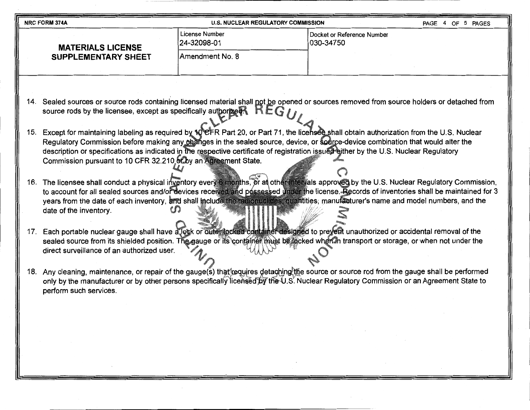| <b>NRC FORM 374A</b>       | <b>U.S. NUCLEAR REGULATORY COMMISSION</b> |                                          | 5 PAGES<br>PAGE 4 OF |
|----------------------------|-------------------------------------------|------------------------------------------|----------------------|
| <b>MATERIALS LICENSE</b>   | License Number<br>24-32098-01             | Docket or Reference Number<br> 030-34750 |                      |
| <b>SUPPLEMENTARY SHEET</b> | Amendment No. 8                           |                                          |                      |
|                            |                                           |                                          |                      |

- 14. Sealed sources or source rods containing licensed material shall not be opened or sources removed from source holders or detached from source rods by the licensee, except as specifically authorized.  $H \mathsf{E} G / I$
- 15. Except for maintaining labeling as required by 10°CFR Part 20, or Part 71, the licensee shall obtain authorization from the U.S. Nuclear Regulatory Commission before making any changes in the sealed source, device, or source-device combination that would alter the description or specifications as indicated in the respective certificate of registration issued either by the U.S. Nuclear Regulatory Commission pursuant to 10 CFR 32.210 of by an Agreement State.
- 16. The licensee shall conduct a physical inventory every 6 months, or at other intervals approved by the U.S. Nuclear Regulatory Commission, to account for all sealed sources and/or devices received and possessed under the license. Records of inventories shall be maintained for 3 years from the date of each inventory, and shall include the radionuclides, quantities, manufacturer's name and model numbers, and the date of the inventory.
- 17. Each portable nuclear gauge shall have a lock or outer locked container designed to prevent unauthorized or accidental removal of the sealed source from its shielded position. The gauge or its container must be focked when in transport or storage, or when not under the direct surveillance of an authorized user.
- 18. Any cleaning, maintenance, or repair of the gauge(s) that requires detaching the source or source rod from the gauge shall be performed only by the manufacturer or by other persons specifically licensed by the U.S. Nuclear Regulatory Commission or an Agreement State to perform such services.